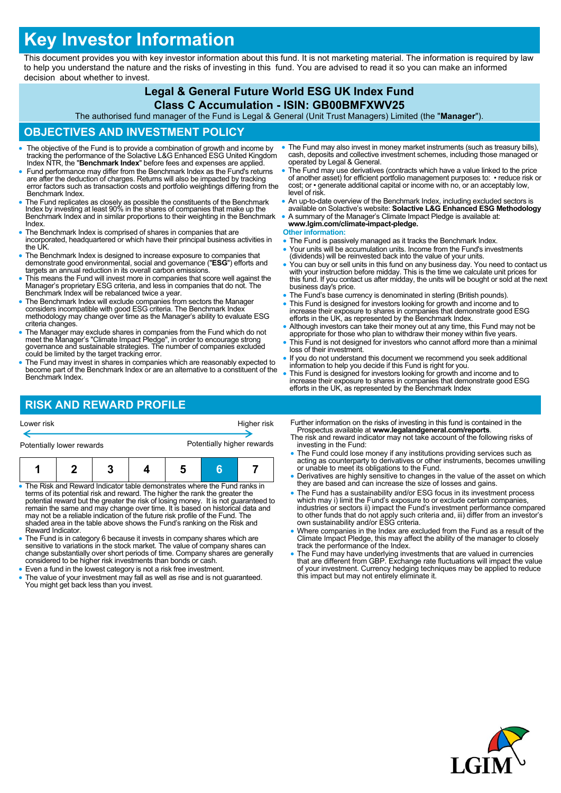# **Key Investor Information**

This document provides you with key investor information about this fund. It is not marketing material. The information is required by law to help you understand the nature and the risks of investing in this fund. You are advised to read it so you can make an informed decision about whether to invest.

### **Legal & General Future World ESG UK Index Fund Class C Accumulation - ISIN: GB00BMFXWV25**

The authorised fund manager of the Fund is Legal & General (Unit Trust Managers) Limited (the "**Manager**").

### **OBJECTIVES AND INVESTMENT POLICY**

- The objective of the Fund is to provide a combination of growth and income by tracking the performance of the Solactive L&G Enhanced ESG United Kingdom Index NTR, the "**Benchmark Index**" before fees and expenses are applied.
- Fund performance may differ from the Benchmark Index as the Fund's returns are after the deduction of charges. Returns will also be impacted by tracking error factors such as transaction costs and portfolio weightings differing from the Benchmark Index.
- The Fund replicates as closely as possible the constituents of the Benchmark Index by investing at least 90% in the shares of companies that make up the Benchmark Index and in similar proportions to their weighting in the Benchmark Index.
- The Benchmark Index is comprised of shares in companies that are incorporated, headquartered or which have their principal business activities in the UK.
- The Benchmark Index is designed to increase exposure to companies that demonstrate good environmental, social and governance ("**ESG**") efforts and targets an annual reduction in its overall carbon emissions.
- This means the Fund will invest more in companies that score well against the Manager's proprietary ESG criteria, and less in companies that do not. The Benchmark Index will be rebalanced twice a year.
- The Benchmark Index will exclude companies from sectors the Manager considers incompatible with good ESG criteria. The Benchmark Index methodology may change over time as the Manager's ability to evaluate ESG criteria changes.
- The Manager may exclude shares in companies from the Fund which do not meet the Manager's "Climate Impact Pledge", in order to encourage strong governance and sustainable strategies. The number of companies excluded could be limited by the target tracking error.
- The Fund may invest in shares in companies which are reasonably expected to become part of the Benchmark Index or are an alternative to a constituent of the Benchmark Index.

## **RISK AND REWARD PROFILE**

- The Fund may also invest in money market instruments (such as treasury bills), cash, deposits and collective investment schemes, including those managed or operated by Legal & General.
- The Fund may use derivatives (contracts which have a value linked to the price of another asset) for efficient portfolio management purposes to: • reduce risk or cost; or • generate additional capital or income with no, or an acceptably low, level of risk.
- An up-to-date overview of the Benchmark Index, including excluded sectors is available on Solactive's website: **Solactive L&G Enhanced ESG Methodology**
- A summary of the Manager's Climate Impact Pledge is available at: **www.lgim.com/climate-impact-pledge.**

#### **Other information:**

- The Fund is passively managed as it tracks the Benchmark Index.
- Your units will be accumulation units. Income from the Fund's investments (dividends) will be reinvested back into the value of your units.
- You can buy or sell units in this fund on any business day. You need to contact us with your instruction before midday. This is the time we calculate unit prices for this fund. If you contact us after midday, the units will be bought or sold at the next business day's price.
- The Fund's base currency is denominated in sterling (British pounds).
- This Fund is designed for investors looking for growth and income and to increase their exposure to shares in companies that demonstrate good ESG efforts in the UK, as represented by the Benchmark Index.
- Although investors can take their money out at any time, this Fund may not be appropriate for those who plan to withdraw their money within five years.
- This Fund is not designed for investors who cannot afford more than a minimal loss of their investment.
- If you do not understand this document we recommend you seek additional information to help you decide if this Fund is right for you.
- This Fund is designed for investors looking for growth and income and to increase their exposure to shares in companies that demonstrate good ESG efforts in the UK, as represented by the Benchmark Index

| Potentially lower rewards |  | Potentially higher rewards |  |  |  |  |
|---------------------------|--|----------------------------|--|--|--|--|
|                           |  |                            |  |  |  |  |

Lower risk Higher risk

- The Risk and Reward Indicator table demonstrates where the Fund ranks in terms of its potential risk and reward. The higher the rank the greater the potential reward but the greater the risk of losing money. It is not guaranteed to<br>remain the same and may change over time. It is based on historical data and<br>may not be a reliable indication of the future risk profile of shaded area in the table above shows the Fund's ranking on the Risk and Reward Indicator.
- The Fund is in category 6 because it invests in company shares which are sensitive to variations in the stock market. The value of company shares can change substantially over short periods of time. Company shares are generally considered to be higher risk investments than bonds or cash.
- Even a fund in the lowest category is not a risk free investment.
- The value of your investment may fall as well as rise and is not guaranteed. You might get back less than you invest.
- Further information on the risks of investing in this fund is contained in the Prospectus available at **www.legalandgeneral.com/reports**. The risk and reward indicator may not take account of the following risks of
- investing in the Fund: The Fund could lose money if any institutions providing services such as acting as counterparty to derivatives or other instruments, becomes unwilling or unable to meet its obligations to the Fund.
- Derivatives are highly sensitive to changes in the value of the asset on which they are based and can increase the size of losses and gains.
- The Fund has a sustainability and/or ESG focus in its investment process which may i) limit the Fund's exposure to or exclude certain companies, industries or sectors ii) impact the Fund's investment performance compared to other funds that do not apply such criteria and, iii) differ from an investor's own sustainability and/or ESG criteria.
- Where companies in the Index are excluded from the Fund as a result of the Climate Impact Pledge, this may affect the ability of the manager to closely track the performance of the Index.
- The Fund may have underlying investments that are valued in currencies that are different from GBP. Exchange rate fluctuations will impact the value of your investment. Currency hedging techniques may be applied to reduce this impact but may not entirely eliminate it.